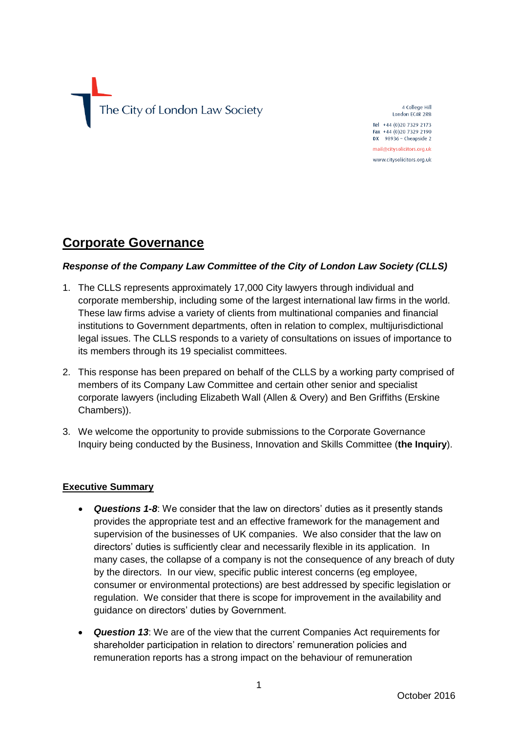

4 College Hill London EC4R 2RB Tel +44 (0)20 7329 2173 Fax +44 (0)20 7329 2190  $DX$  98936 - Cheapside 2 mail@citysolicitors.org.uk

www.citysolicitors.org.uk

# **Corporate Governance**

### *Response of the Company Law Committee of the City of London Law Society (CLLS)*

- 1. The CLLS represents approximately 17,000 City lawyers through individual and corporate membership, including some of the largest international law firms in the world. These law firms advise a variety of clients from multinational companies and financial institutions to Government departments, often in relation to complex, multijurisdictional legal issues. The CLLS responds to a variety of consultations on issues of importance to its members through its 19 specialist committees.
- 2. This response has been prepared on behalf of the CLLS by a working party comprised of members of its Company Law Committee and certain other senior and specialist corporate lawyers (including Elizabeth Wall (Allen & Overy) and Ben Griffiths (Erskine Chambers)).
- 3. We welcome the opportunity to provide submissions to the Corporate Governance Inquiry being conducted by the Business, Innovation and Skills Committee (**the Inquiry**).

### **Executive Summary**

- *Questions 1-8*: We consider that the law on directors' duties as it presently stands provides the appropriate test and an effective framework for the management and supervision of the businesses of UK companies. We also consider that the law on directors' duties is sufficiently clear and necessarily flexible in its application. In many cases, the collapse of a company is not the consequence of any breach of duty by the directors. In our view, specific public interest concerns (eg employee, consumer or environmental protections) are best addressed by specific legislation or regulation. We consider that there is scope for improvement in the availability and guidance on directors' duties by Government.
- *Question 13*: We are of the view that the current Companies Act requirements for shareholder participation in relation to directors' remuneration policies and remuneration reports has a strong impact on the behaviour of remuneration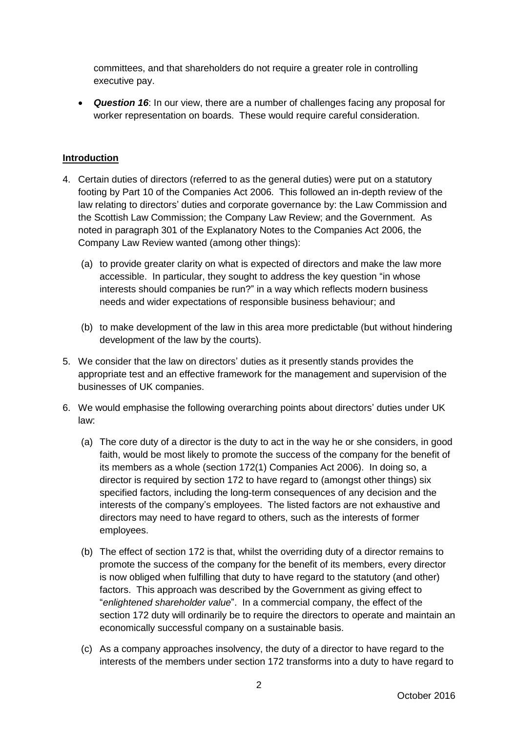committees, and that shareholders do not require a greater role in controlling executive pay.

 *Question 16*: In our view, there are a number of challenges facing any proposal for worker representation on boards. These would require careful consideration.

## **Introduction**

- 4. Certain duties of directors (referred to as the general duties) were put on a statutory footing by Part 10 of the Companies Act 2006. This followed an in-depth review of the law relating to directors' duties and corporate governance by: the Law Commission and the Scottish Law Commission; the Company Law Review; and the Government. As noted in paragraph 301 of the Explanatory Notes to the Companies Act 2006, the Company Law Review wanted (among other things):
	- (a) to provide greater clarity on what is expected of directors and make the law more accessible. In particular, they sought to address the key question "in whose interests should companies be run?" in a way which reflects modern business needs and wider expectations of responsible business behaviour; and
	- (b) to make development of the law in this area more predictable (but without hindering development of the law by the courts).
- 5. We consider that the law on directors' duties as it presently stands provides the appropriate test and an effective framework for the management and supervision of the businesses of UK companies.
- <span id="page-1-0"></span>6. We would emphasise the following overarching points about directors' duties under UK law:
	- (a) The core duty of a director is the duty to act in the way he or she considers, in good faith, would be most likely to promote the success of the company for the benefit of its members as a whole (section 172(1) Companies Act 2006). In doing so, a director is required by section 172 to have regard to (amongst other things) six specified factors, including the long-term consequences of any decision and the interests of the company's employees. The listed factors are not exhaustive and directors may need to have regard to others, such as the interests of former employees.
	- (b) The effect of section 172 is that, whilst the overriding duty of a director remains to promote the success of the company for the benefit of its members, every director is now obliged when fulfilling that duty to have regard to the statutory (and other) factors. This approach was described by the Government as giving effect to "*enlightened shareholder value*". In a commercial company, the effect of the section 172 duty will ordinarily be to require the directors to operate and maintain an economically successful company on a sustainable basis.
	- (c) As a company approaches insolvency, the duty of a director to have regard to the interests of the members under section 172 transforms into a duty to have regard to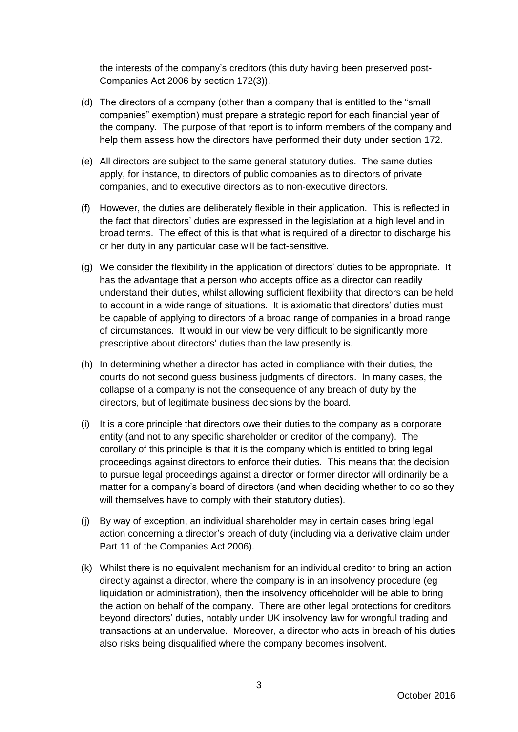the interests of the company's creditors (this duty having been preserved post-Companies Act 2006 by section 172(3)).

- (d) The directors of a company (other than a company that is entitled to the "small companies" exemption) must prepare a strategic report for each financial year of the company. The purpose of that report is to inform members of the company and help them assess how the directors have performed their duty under section 172.
- (e) All directors are subject to the same general statutory duties. The same duties apply, for instance, to directors of public companies as to directors of private companies, and to executive directors as to non-executive directors.
- (f) However, the duties are deliberately flexible in their application. This is reflected in the fact that directors' duties are expressed in the legislation at a high level and in broad terms. The effect of this is that what is required of a director to discharge his or her duty in any particular case will be fact-sensitive.
- <span id="page-2-1"></span><span id="page-2-0"></span>(g) We consider the flexibility in the application of directors' duties to be appropriate. It has the advantage that a person who accepts office as a director can readily understand their duties, whilst allowing sufficient flexibility that directors can be held to account in a wide range of situations. It is axiomatic that directors' duties must be capable of applying to directors of a broad range of companies in a broad range of circumstances. It would in our view be very difficult to be significantly more prescriptive about directors' duties than the law presently is.
- (h) In determining whether a director has acted in compliance with their duties, the courts do not second guess business judgments of directors. In many cases, the collapse of a company is not the consequence of any breach of duty by the directors, but of legitimate business decisions by the board.
- <span id="page-2-2"></span>(i) It is a core principle that directors owe their duties to the company as a corporate entity (and not to any specific shareholder or creditor of the company). The corollary of this principle is that it is the company which is entitled to bring legal proceedings against directors to enforce their duties. This means that the decision to pursue legal proceedings against a director or former director will ordinarily be a matter for a company's board of directors (and when deciding whether to do so they will themselves have to comply with their statutory duties).
- (j) By way of exception, an individual shareholder may in certain cases bring legal action concerning a director's breach of duty (including via a derivative claim under Part 11 of the Companies Act 2006).
- <span id="page-2-3"></span>(k) Whilst there is no equivalent mechanism for an individual creditor to bring an action directly against a director, where the company is in an insolvency procedure (eg liquidation or administration), then the insolvency officeholder will be able to bring the action on behalf of the company. There are other legal protections for creditors beyond directors' duties, notably under UK insolvency law for wrongful trading and transactions at an undervalue. Moreover, a director who acts in breach of his duties also risks being disqualified where the company becomes insolvent.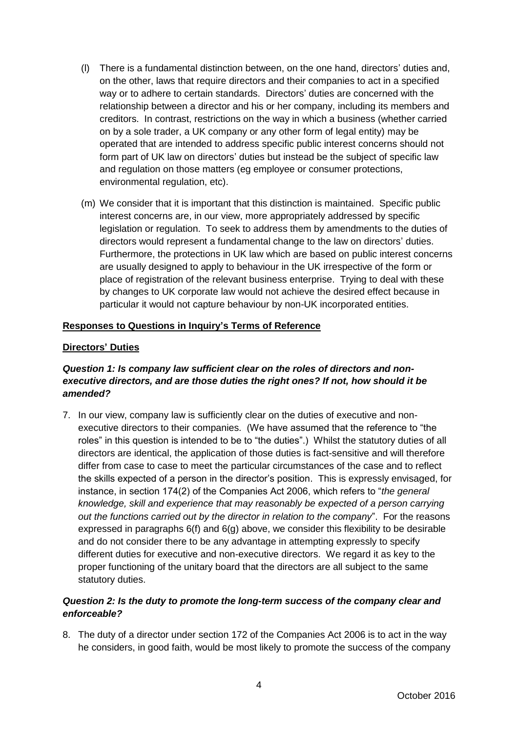- (l) There is a fundamental distinction between, on the one hand, directors' duties and, on the other, laws that require directors and their companies to act in a specified way or to adhere to certain standards. Directors' duties are concerned with the relationship between a director and his or her company, including its members and creditors. In contrast, restrictions on the way in which a business (whether carried on by a sole trader, a UK company or any other form of legal entity) may be operated that are intended to address specific public interest concerns should not form part of UK law on directors' duties but instead be the subject of specific law and regulation on those matters (eg employee or consumer protections, environmental regulation, etc).
- <span id="page-3-1"></span><span id="page-3-0"></span>(m) We consider that it is important that this distinction is maintained. Specific public interest concerns are, in our view, more appropriately addressed by specific legislation or regulation. To seek to address them by amendments to the duties of directors would represent a fundamental change to the law on directors' duties. Furthermore, the protections in UK law which are based on public interest concerns are usually designed to apply to behaviour in the UK irrespective of the form or place of registration of the relevant business enterprise. Trying to deal with these by changes to UK corporate law would not achieve the desired effect because in particular it would not capture behaviour by non-UK incorporated entities.

### **Responses to Questions in Inquiry's Terms of Reference**

### **Directors' Duties**

# *Question 1: Is company law sufficient clear on the roles of directors and nonexecutive directors, and are those duties the right ones? If not, how should it be amended?*

7. In our view, company law is sufficiently clear on the duties of executive and nonexecutive directors to their companies. (We have assumed that the reference to "the roles" in this question is intended to be to "the duties".) Whilst the statutory duties of all directors are identical, the application of those duties is fact-sensitive and will therefore differ from case to case to meet the particular circumstances of the case and to reflect the skills expected of a person in the director's position. This is expressly envisaged, for instance, in section 174(2) of the Companies Act 2006, which refers to "*the general knowledge, skill and experience that may reasonably be expected of a person carrying out the functions carried out by the director in relation to the company*". For the reasons expressed in paragraphs [6\(f\)](#page-2-0) and [6\(g\)](#page-2-1) above, we consider this flexibility to be desirable and do not consider there to be any advantage in attempting expressly to specify different duties for executive and non-executive directors. We regard it as key to the proper functioning of the unitary board that the directors are all subject to the same statutory duties.

# *Question 2: Is the duty to promote the long-term success of the company clear and enforceable?*

8. The duty of a director under section 172 of the Companies Act 2006 is to act in the way he considers, in good faith, would be most likely to promote the success of the company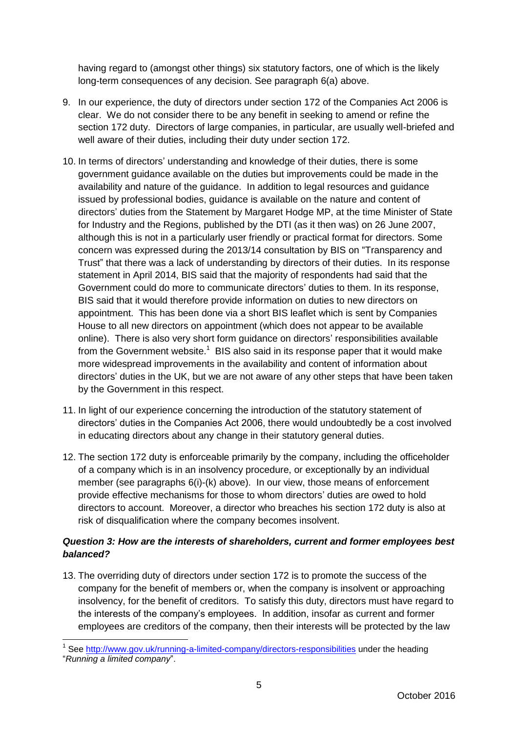having regard to (amongst other things) six statutory factors, one of which is the likely long-term consequences of any decision. See paragraph [6\(a\)](#page-1-0) above.

- 9. In our experience, the duty of directors under section 172 of the Companies Act 2006 is clear. We do not consider there to be any benefit in seeking to amend or refine the section 172 duty. Directors of large companies, in particular, are usually well-briefed and well aware of their duties, including their duty under section 172.
- 10. In terms of directors' understanding and knowledge of their duties, there is some government guidance available on the duties but improvements could be made in the availability and nature of the guidance. In addition to legal resources and guidance issued by professional bodies, guidance is available on the nature and content of directors' duties from the Statement by Margaret Hodge MP, at the time Minister of State for Industry and the Regions, published by the DTI (as it then was) on 26 June 2007, although this is not in a particularly user friendly or practical format for directors. Some concern was expressed during the 2013/14 consultation by BIS on "Transparency and Trust" that there was a lack of understanding by directors of their duties. In its response statement in April 2014, BIS said that the majority of respondents had said that the Government could do more to communicate directors' duties to them. In its response, BIS said that it would therefore provide information on duties to new directors on appointment. This has been done via a short BIS leaflet which is sent by Companies House to all new directors on appointment (which does not appear to be available online). There is also very short form guidance on directors' responsibilities available from the Government website.<sup>1</sup> BIS also said in its response paper that it would make more widespread improvements in the availability and content of information about directors' duties in the UK, but we are not aware of any other steps that have been taken by the Government in this respect.
- 11. In light of our experience concerning the introduction of the statutory statement of directors' duties in the Companies Act 2006, there would undoubtedly be a cost involved in educating directors about any change in their statutory general duties.
- 12. The section 172 duty is enforceable primarily by the company, including the officeholder of a company which is in an insolvency procedure, or exceptionally by an individual member (see paragraphs [6\(i\)-](#page-2-2)[\(k\)](#page-2-3) above). In our view, those means of enforcement provide effective mechanisms for those to whom directors' duties are owed to hold directors to account. Moreover, a director who breaches his section 172 duty is also at risk of disqualification where the company becomes insolvent.

# *Question 3: How are the interests of shareholders, current and former employees best balanced?*

13. The overriding duty of directors under section 172 is to promote the success of the company for the benefit of members or, when the company is insolvent or approaching insolvency, for the benefit of creditors. To satisfy this duty, directors must have regard to the interests of the company's employees. In addition, insofar as current and former employees are creditors of the company, then their interests will be protected by the law

 1 See<http://www.gov.uk/running-a-limited-company/directors-responsibilities> under the heading

<sup>&</sup>quot;*Running a limited company*".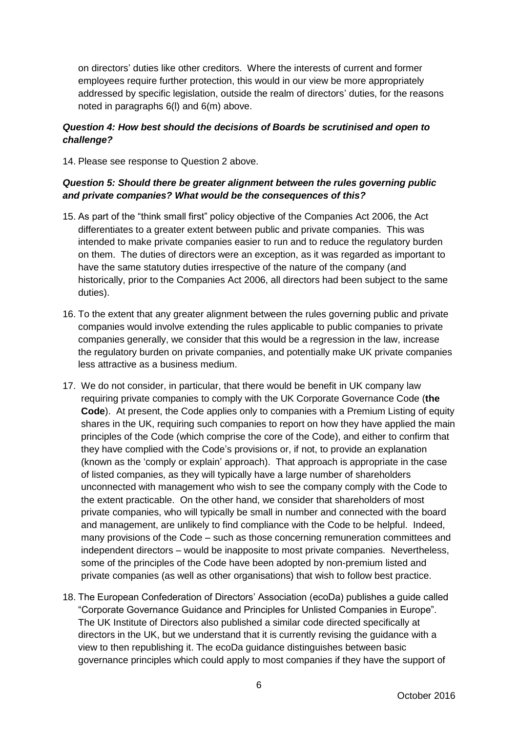on directors' duties like other creditors. Where the interests of current and former employees require further protection, this would in our view be more appropriately addressed by specific legislation, outside the realm of directors' duties, for the reasons noted in paragraphs [6\(l\)](#page-3-0) and [6\(m\)](#page-3-1) above.

## *Question 4: How best should the decisions of Boards be scrutinised and open to challenge?*

14. Please see response to Question 2 above.

### *Question 5: Should there be greater alignment between the rules governing public and private companies? What would be the consequences of this?*

- 15. As part of the "think small first" policy objective of the Companies Act 2006, the Act differentiates to a greater extent between public and private companies. This was intended to make private companies easier to run and to reduce the regulatory burden on them. The duties of directors were an exception, as it was regarded as important to have the same statutory duties irrespective of the nature of the company (and historically, prior to the Companies Act 2006, all directors had been subject to the same duties).
- 16. To the extent that any greater alignment between the rules governing public and private companies would involve extending the rules applicable to public companies to private companies generally, we consider that this would be a regression in the law, increase the regulatory burden on private companies, and potentially make UK private companies less attractive as a business medium.
- <span id="page-5-0"></span>17. We do not consider, in particular, that there would be benefit in UK company law requiring private companies to comply with the UK Corporate Governance Code (**the Code**). At present, the Code applies only to companies with a Premium Listing of equity shares in the UK, requiring such companies to report on how they have applied the main principles of the Code (which comprise the core of the Code), and either to confirm that they have complied with the Code's provisions or, if not, to provide an explanation (known as the 'comply or explain' approach). That approach is appropriate in the case of listed companies, as they will typically have a large number of shareholders unconnected with management who wish to see the company comply with the Code to the extent practicable. On the other hand, we consider that shareholders of most private companies, who will typically be small in number and connected with the board and management, are unlikely to find compliance with the Code to be helpful. Indeed, many provisions of the Code – such as those concerning remuneration committees and independent directors – would be inapposite to most private companies. Nevertheless, some of the principles of the Code have been adopted by non-premium listed and private companies (as well as other organisations) that wish to follow best practice.
- 18. The European Confederation of Directors' Association (ecoDa) publishes a guide called "Corporate Governance Guidance and Principles for Unlisted Companies in Europe". The UK Institute of Directors also published a similar code directed specifically at directors in the UK, but we understand that it is currently revising the guidance with a view to then republishing it. The ecoDa guidance distinguishes between basic governance principles which could apply to most companies if they have the support of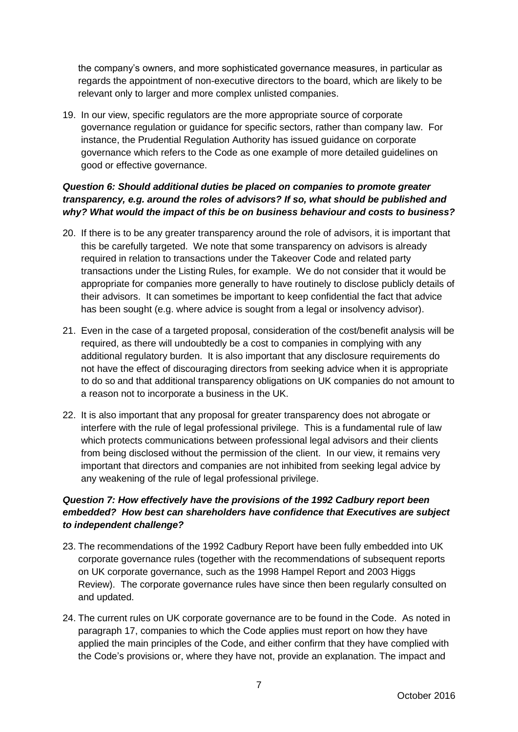the company's owners, and more sophisticated governance measures, in particular as regards the appointment of non-executive directors to the board, which are likely to be relevant only to larger and more complex unlisted companies.

19. In our view, specific regulators are the more appropriate source of corporate governance regulation or guidance for specific sectors, rather than company law. For instance, the Prudential Regulation Authority has issued guidance on corporate governance which refers to the Code as one example of more detailed guidelines on good or effective governance.

# *Question 6: Should additional duties be placed on companies to promote greater transparency, e.g. around the roles of advisors? If so, what should be published and why? What would the impact of this be on business behaviour and costs to business?*

- 20. If there is to be any greater transparency around the role of advisors, it is important that this be carefully targeted. We note that some transparency on advisors is already required in relation to transactions under the Takeover Code and related party transactions under the Listing Rules, for example. We do not consider that it would be appropriate for companies more generally to have routinely to disclose publicly details of their advisors. It can sometimes be important to keep confidential the fact that advice has been sought (e.g. where advice is sought from a legal or insolvency advisor).
- 21. Even in the case of a targeted proposal, consideration of the cost/benefit analysis will be required, as there will undoubtedly be a cost to companies in complying with any additional regulatory burden. It is also important that any disclosure requirements do not have the effect of discouraging directors from seeking advice when it is appropriate to do so and that additional transparency obligations on UK companies do not amount to a reason not to incorporate a business in the UK.
- 22. It is also important that any proposal for greater transparency does not abrogate or interfere with the rule of legal professional privilege. This is a fundamental rule of law which protects communications between professional legal advisors and their clients from being disclosed without the permission of the client. In our view, it remains very important that directors and companies are not inhibited from seeking legal advice by any weakening of the rule of legal professional privilege.

# *Question 7: How effectively have the provisions of the 1992 Cadbury report been embedded? How best can shareholders have confidence that Executives are subject to independent challenge?*

- 23. The recommendations of the 1992 Cadbury Report have been fully embedded into UK corporate governance rules (together with the recommendations of subsequent reports on UK corporate governance, such as the 1998 Hampel Report and 2003 Higgs Review). The corporate governance rules have since then been regularly consulted on and updated.
- 24. The current rules on UK corporate governance are to be found in the Code. As noted in paragraph [17,](#page-5-0) companies to which the Code applies must report on how they have applied the main principles of the Code, and either confirm that they have complied with the Code's provisions or, where they have not, provide an explanation. The impact and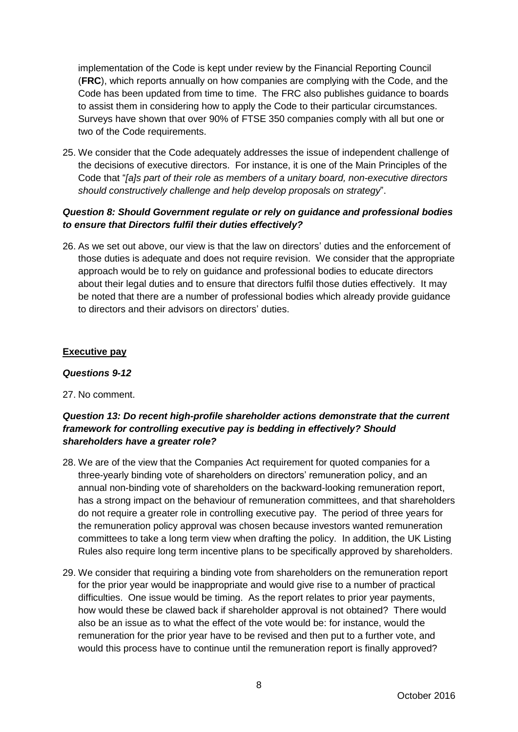implementation of the Code is kept under review by the Financial Reporting Council (**FRC**), which reports annually on how companies are complying with the Code, and the Code has been updated from time to time. The FRC also publishes guidance to boards to assist them in considering how to apply the Code to their particular circumstances. Surveys have shown that over 90% of FTSE 350 companies comply with all but one or two of the Code requirements.

25. We consider that the Code adequately addresses the issue of independent challenge of the decisions of executive directors. For instance, it is one of the Main Principles of the Code that "*[a]s part of their role as members of a unitary board, non-executive directors should constructively challenge and help develop proposals on strategy*".

## *Question 8: Should Government regulate or rely on guidance and professional bodies to ensure that Directors fulfil their duties effectively?*

26. As we set out above, our view is that the law on directors' duties and the enforcement of those duties is adequate and does not require revision. We consider that the appropriate approach would be to rely on guidance and professional bodies to educate directors about their legal duties and to ensure that directors fulfil those duties effectively. It may be noted that there are a number of professional bodies which already provide guidance to directors and their advisors on directors' duties.

### **Executive pay**

#### *Questions 9-12*

### 27. No comment.

# *Question 13: Do recent high-profile shareholder actions demonstrate that the current framework for controlling executive pay is bedding in effectively? Should shareholders have a greater role?*

- 28. We are of the view that the Companies Act requirement for quoted companies for a three-yearly binding vote of shareholders on directors' remuneration policy, and an annual non-binding vote of shareholders on the backward-looking remuneration report, has a strong impact on the behaviour of remuneration committees, and that shareholders do not require a greater role in controlling executive pay. The period of three years for the remuneration policy approval was chosen because investors wanted remuneration committees to take a long term view when drafting the policy. In addition, the UK Listing Rules also require long term incentive plans to be specifically approved by shareholders.
- 29. We consider that requiring a binding vote from shareholders on the remuneration report for the prior year would be inappropriate and would give rise to a number of practical difficulties. One issue would be timing. As the report relates to prior year payments, how would these be clawed back if shareholder approval is not obtained? There would also be an issue as to what the effect of the vote would be: for instance, would the remuneration for the prior year have to be revised and then put to a further vote, and would this process have to continue until the remuneration report is finally approved?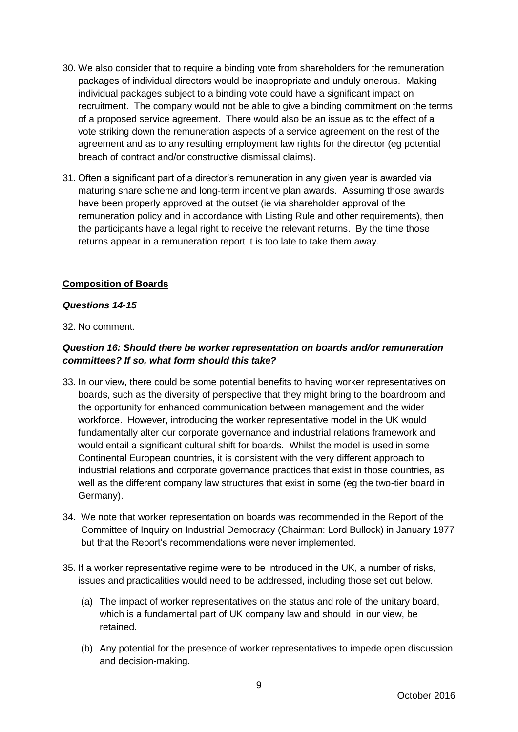- 30. We also consider that to require a binding vote from shareholders for the remuneration packages of individual directors would be inappropriate and unduly onerous. Making individual packages subject to a binding vote could have a significant impact on recruitment. The company would not be able to give a binding commitment on the terms of a proposed service agreement. There would also be an issue as to the effect of a vote striking down the remuneration aspects of a service agreement on the rest of the agreement and as to any resulting employment law rights for the director (eg potential breach of contract and/or constructive dismissal claims).
- 31. Often a significant part of a director's remuneration in any given year is awarded via maturing share scheme and long-term incentive plan awards. Assuming those awards have been properly approved at the outset (ie via shareholder approval of the remuneration policy and in accordance with Listing Rule and other requirements), then the participants have a legal right to receive the relevant returns. By the time those returns appear in a remuneration report it is too late to take them away.

### **Composition of Boards**

### *Questions 14-15*

32. No comment.

# *Question 16: Should there be worker representation on boards and/or remuneration committees? If so, what form should this take?*

- 33. In our view, there could be some potential benefits to having worker representatives on boards, such as the diversity of perspective that they might bring to the boardroom and the opportunity for enhanced communication between management and the wider workforce. However, introducing the worker representative model in the UK would fundamentally alter our corporate governance and industrial relations framework and would entail a significant cultural shift for boards. Whilst the model is used in some Continental European countries, it is consistent with the very different approach to industrial relations and corporate governance practices that exist in those countries, as well as the different company law structures that exist in some (eg the two-tier board in Germany).
- 34. We note that worker representation on boards was recommended in the Report of the Committee of Inquiry on Industrial Democracy (Chairman: Lord Bullock) in January 1977 but that the Report's recommendations were never implemented.
- 35. If a worker representative regime were to be introduced in the UK, a number of risks, issues and practicalities would need to be addressed, including those set out below.
	- (a) The impact of worker representatives on the status and role of the unitary board, which is a fundamental part of UK company law and should, in our view, be retained.
	- (b) Any potential for the presence of worker representatives to impede open discussion and decision-making.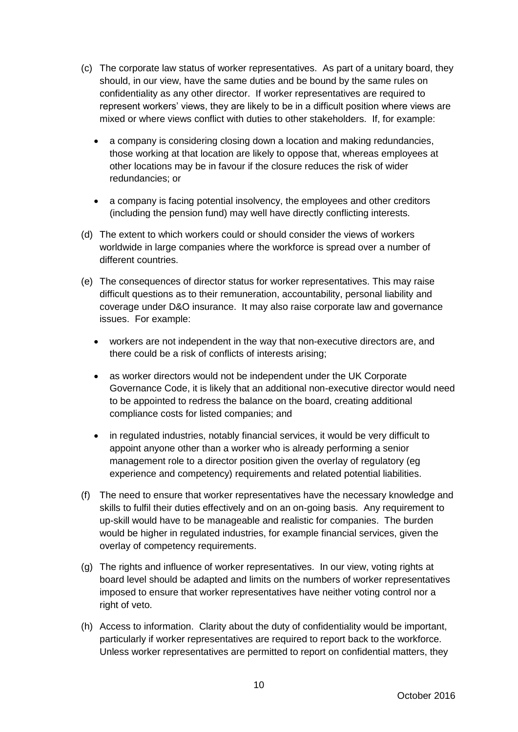- (c) The corporate law status of worker representatives. As part of a unitary board, they should, in our view, have the same duties and be bound by the same rules on confidentiality as any other director. If worker representatives are required to represent workers' views, they are likely to be in a difficult position where views are mixed or where views conflict with duties to other stakeholders. If, for example:
	- a company is considering closing down a location and making redundancies, those working at that location are likely to oppose that, whereas employees at other locations may be in favour if the closure reduces the risk of wider redundancies; or
	- a company is facing potential insolvency, the employees and other creditors (including the pension fund) may well have directly conflicting interests.
- (d) The extent to which workers could or should consider the views of workers worldwide in large companies where the workforce is spread over a number of different countries.
- (e) The consequences of director status for worker representatives. This may raise difficult questions as to their remuneration, accountability, personal liability and coverage under D&O insurance. It may also raise corporate law and governance issues. For example:
	- workers are not independent in the way that non-executive directors are, and there could be a risk of conflicts of interests arising;
	- as worker directors would not be independent under the UK Corporate Governance Code, it is likely that an additional non-executive director would need to be appointed to redress the balance on the board, creating additional compliance costs for listed companies; and
	- in regulated industries, notably financial services, it would be very difficult to appoint anyone other than a worker who is already performing a senior management role to a director position given the overlay of regulatory (eg experience and competency) requirements and related potential liabilities.
- (f) The need to ensure that worker representatives have the necessary knowledge and skills to fulfil their duties effectively and on an on-going basis. Any requirement to up-skill would have to be manageable and realistic for companies. The burden would be higher in regulated industries, for example financial services, given the overlay of competency requirements.
- (g) The rights and influence of worker representatives. In our view, voting rights at board level should be adapted and limits on the numbers of worker representatives imposed to ensure that worker representatives have neither voting control nor a right of veto.
- (h) Access to information. Clarity about the duty of confidentiality would be important, particularly if worker representatives are required to report back to the workforce. Unless worker representatives are permitted to report on confidential matters, they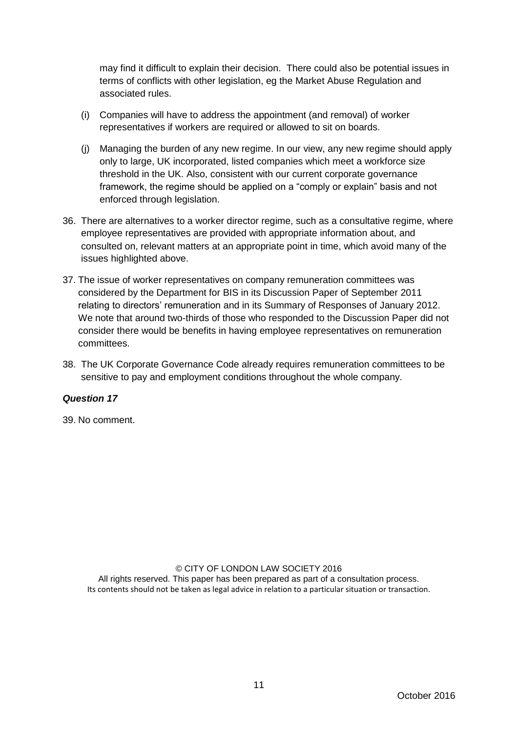may find it difficult to explain their decision. There could also be potential issues in terms of conflicts with other legislation, eg the Market Abuse Regulation and associated rules.

- (i) Companies will have to address the appointment (and removal) of worker representatives if workers are required or allowed to sit on boards.
- (j) Managing the burden of any new regime. In our view, any new regime should apply only to large, UK incorporated, listed companies which meet a workforce size threshold in the UK. Also, consistent with our current corporate governance framework, the regime should be applied on a "comply or explain" basis and not enforced through legislation.
- 36. There are alternatives to a worker director regime, such as a consultative regime, where employee representatives are provided with appropriate information about, and consulted on, relevant matters at an appropriate point in time, which avoid many of the issues highlighted above.
- 37. The issue of worker representatives on company remuneration committees was considered by the Department for BIS in its Discussion Paper of September 2011 relating to directors' remuneration and in its Summary of Responses of January 2012. We note that around two-thirds of those who responded to the Discussion Paper did not consider there would be benefits in having employee representatives on remuneration committees.
- 38. The UK Corporate Governance Code already requires remuneration committees to be sensitive to pay and employment conditions throughout the whole company.

### *Question 17*

39. No comment.

© CITY OF LONDON LAW SOCIETY 2016 All rights reserved. This paper has been prepared as part of a consultation process. Its contents should not be taken as legal advice in relation to a particular situation or transaction.